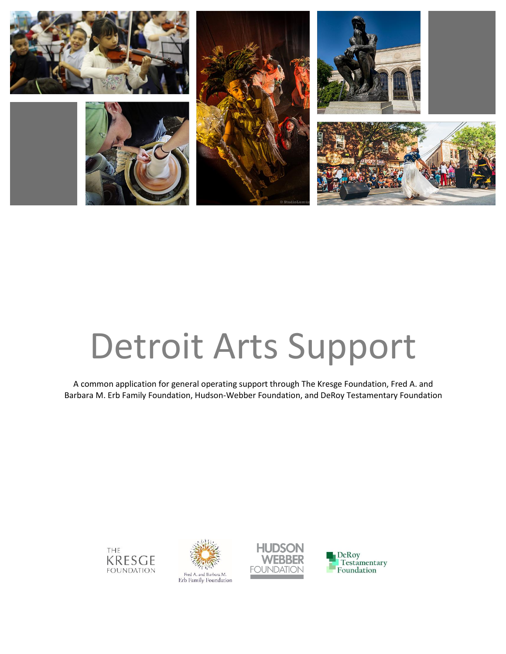

# Detroit Arts Support

A common application for general operating support through The Kresge Foundation, Fred A. and Barbara M. Erb Family Foundation, Hudson-Webber Foundation, and DeRoy Testamentary Foundation







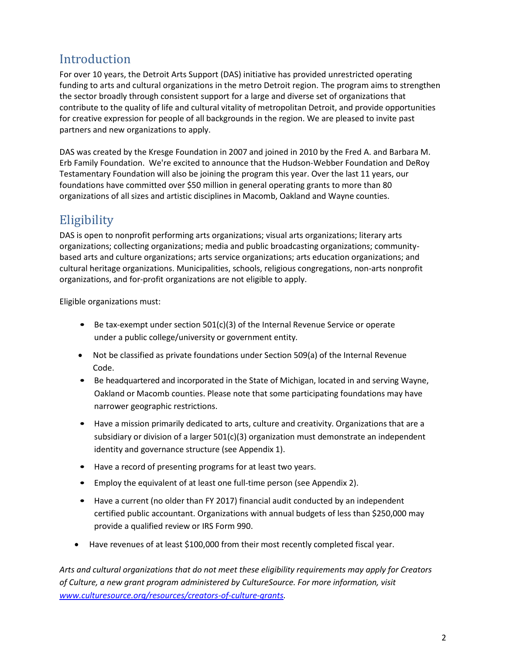## **Introduction**

For over 10 years, the Detroit Arts Support (DAS) initiative has provided unrestricted operating funding to arts and cultural organizations in the metro Detroit region. The program aims to strengthen the sector broadly through consistent support for a large and diverse set of organizations that contribute to the quality of life and cultural vitality of metropolitan Detroit, and provide opportunities for creative expression for people of all backgrounds in the region. We are pleased to invite past partners and new organizations to apply.

DAS was created by the Kresge Foundation in 2007 and joined in 2010 by the Fred A. and Barbara M. Erb Family Foundation. We're excited to announce that the Hudson-Webber Foundation and DeRoy Testamentary Foundation will also be joining the program this year. Over the last 11 years, our foundations have committed over \$50 million in general operating grants to more than 80 organizations of all sizes and artistic disciplines in Macomb, Oakland and Wayne counties.

## **Eligibility**

DAS is open to nonprofit performing arts organizations; visual arts organizations; literary arts organizations; collecting organizations; media and public broadcasting organizations; communitybased arts and culture organizations; arts service organizations; arts education organizations; and cultural heritage organizations. Municipalities, schools, religious congregations, non-arts nonprofit organizations, and for-profit organizations are not eligible to apply.

Eligible organizations must:

- Be tax-exempt under section 501(c)(3) of the Internal Revenue Service or operate under a public college/university or government entity.
- Not be classified as private foundations under Section 509(a) of the Internal Revenue Code.
- Be headquartered and incorporated in the State of Michigan, located in and serving Wayne, Oakland or Macomb counties. Please note that some participating foundations may have narrower geographic restrictions.
- Have a mission primarily dedicated to arts, culture and creativity. Organizations that are a subsidiary or division of a larger  $501(c)(3)$  organization must demonstrate an independent identity and governance structure (see Appendix 1).
- Have a record of presenting programs for at least two years.
- Employ the equivalent of at least one full-time person (see Appendix 2).
- Have a current (no older than FY 2017) financial audit conducted by an independent certified public accountant. Organizations with annual budgets of less than \$250,000 may provide a qualified review or IRS Form 990.
- Have revenues of at least \$100,000 from their most recently completed fiscal year.

*Arts and cultural organizations that do not meet these eligibility requirements may apply for Creators of Culture, a new grant program administered by CultureSource. For more information, visit [www.culturesource.org/resources/creators-of-culture-grants.](http://www.culturesource.org/resources/creators-of-culture-grants)*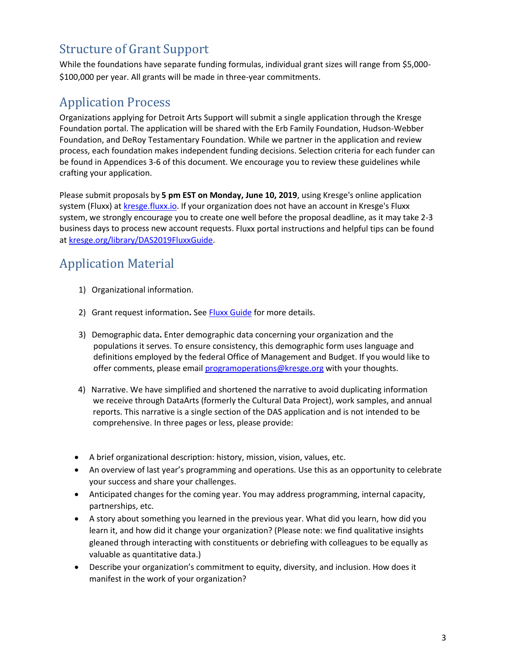## Structure of Grant Support

While the foundations have separate funding formulas, individual grant sizes will range from \$5,000- \$100,000 per year. All grants will be made in three-year commitments.

## Application Process

Organizations applying for Detroit Arts Support will submit a single application through the Kresge Foundation portal. The application will be shared with the Erb Family Foundation, Hudson-Webber Foundation, and DeRoy Testamentary Foundation. While we partner in the application and review process, each foundation makes independent funding decisions. Selection criteria for each funder can be found in Appendices 3-6 of this document. We encourage you to review these guidelines while crafting your application.

Please submit proposals by **5 pm EST on Monday, June 10, 2019**, using Kresge's online application system (Fluxx) a[t kresge.fluxx.io.](http://kresge.fluxx.io/) If your organization does not have an account in Kresge's Fluxx system, we strongly encourage you to create one well before the proposal deadline, as it may take 2-3 business days to process new account requests. Fluxx portal instructions and helpful tips can be found at [kresge.org/library/DAS2019FluxxGuide.](https://kresge.org/library/DAS2019FLUXXGuide)

## Application Material

- 1) Organizational information.
- 2) Grant request information**.** Se[e Fluxx Guide](https://kresge.org/library/DAS2019FLUXXGuide) for more details.
- 3) Demographic data**.** Enter demographic data concerning your organization and the populations it serves. To ensure consistency, this demographic form uses language and definitions employed by the federal Office of Management and Budget. If you would like to offer comments, please email [programoperations@kresge.org](mailto:programoperations@kresge.org) with your thoughts.
- 4) Narrative. We have simplified and shortened the narrative to avoid duplicating information we receive through DataArts (formerly the Cultural Data Project), work samples, and annual reports. This narrative is a single section of the DAS application and is not intended to be comprehensive. In three pages or less, please provide:
- A brief organizational description: history, mission, vision, values, etc.
- An overview of last year's programming and operations. Use this as an opportunity to celebrate your success and share your challenges.
- Anticipated changes for the coming year. You may address programming, internal capacity, partnerships, etc.
- A story about something you learned in the previous year. What did you learn, how did you learn it, and how did it change your organization? (Please note: we find qualitative insights gleaned through interacting with constituents or debriefing with colleagues to be equally as valuable as quantitative data.)
- Describe your organization's commitment to equity, diversity, and inclusion. How does it manifest in the work of your organization?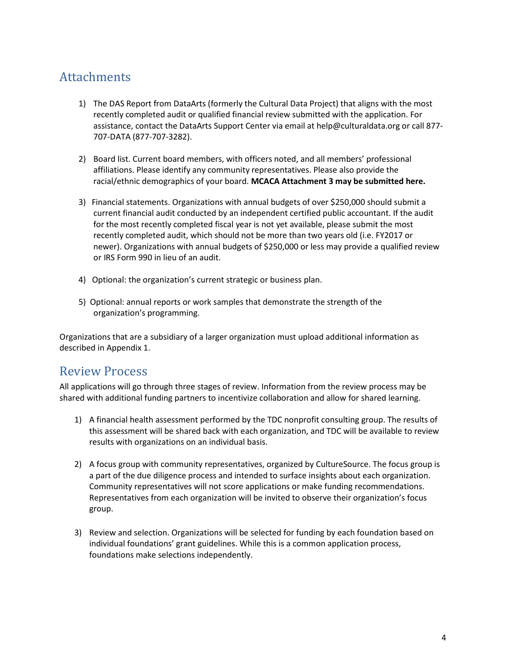## Attachments

- 1) The DAS Report from DataArts (formerly the Cultural Data Project) that aligns with the most recently completed audit or qualified financial review submitted with the application. For assistance, contact the DataArts Support Center via email [at help@culturaldata.org](mailto:help@culturaldata.org) or call 877- 707-DATA (877-707-3282).
- 2) Board list. Current board members, with officers noted, and all members' professional affiliations. Please identify any community representatives. Please also provide the racial/ethnic demographics of your board. **MCACA Attachment 3 may be submitted here.**
- 3) Financial statements. Organizations with annual budgets of over \$250,000 should submit a current financial audit conducted by an independent certified public accountant. If the audit for the most recently completed fiscal year is not yet available, please submit the most recently completed audit, which should not be more than two years old (i.e. FY2017 or newer). Organizations with annual budgets of \$250,000 or less may provide a qualified review or IRS Form 990 in lieu of an audit.
- 4) Optional: the organization's current strategic or business plan.
- 5) Optional: annual reports or work samples that demonstrate the strength of the organization's programming.

Organizations that are a subsidiary of a larger organization must upload additional information as described in Appendix 1.

## Review Process

All applications will go through three stages of review. Information from the review process may be shared with additional funding partners to incentivize collaboration and allow for shared learning.

- 1) A financial health assessment performed by the TDC nonprofit consulting group. The results of this assessment will be shared back with each organization, and TDC will be available to review results with organizations on an individual basis.
- 2) A focus group with community representatives, organized by CultureSource. The focus group is a part of the due diligence process and intended to surface insights about each organization. Community representatives will not score applications or make funding recommendations. Representatives from each organization will be invited to observe their organization's focus group.
- 3) Review and selection. Organizations will be selected for funding by each foundation based on individual foundations' grant guidelines. While this is a common application process, foundations make selections independently.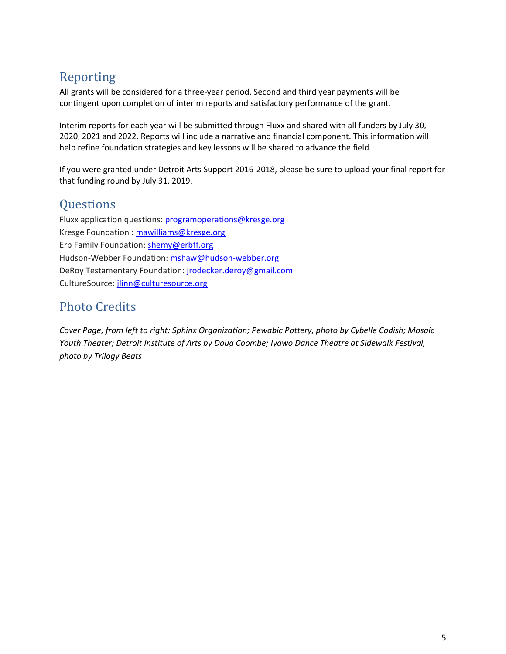## Reporting

All grants will be considered for a three-year period. Second and third year payments will be contingent upon completion of interim reports and satisfactory performance of the grant.

Interim reports for each year will be submitted through Fluxx and shared with all funders by July 30, 2020, 2021 and 2022. Reports will include a narrative and financial component. This information will help refine foundation strategies and key lessons will be shared to advance the field.

If you were granted under Detroit Arts Support 2016-2018, please be sure to upload your final report for that funding round by July 31, 2019.

## **Questions**

Fluxx application questions: [programoperations@kresge.org](mailto:programoperations@kresge.org) Kresge Foundation : [mawilliams@kresge.org](mailto:mawilliams@kresge.org) Erb Family Foundation: [shemy@erbff.org](mailto:shemy@erbff.org) Hudson-Webber Foundation: [mshaw@hudson-webber.org](mailto:mshaw@hudson-webber.org) DeRoy Testamentary Foundation: [jrodecker.deroy@gmail.com](mailto:jrodecker.deroy@gmail.com) CultureSource[: jlinn@culturesource.org](mailto:jlinn@culturesource.org)

## Photo Credits

*Cover Page, from left to right: Sphinx Organization; Pewabic Pottery, photo by Cybelle Codish; Mosaic Youth Theater; Detroit Institute of Arts by Doug Coombe; Iyawo Dance Theatre at Sidewalk Festival, photo by Trilogy Beats*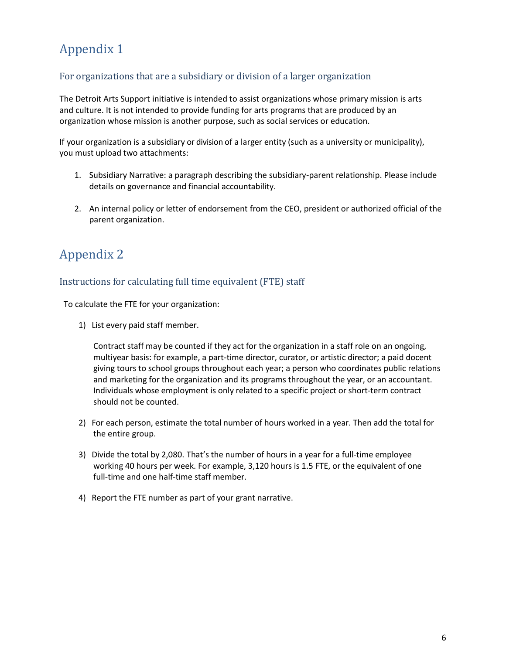# Appendix 1

## For organizations that are a subsidiary or division of a larger organization

The Detroit Arts Support initiative is intended to assist organizations whose primary mission is arts and culture. It is not intended to provide funding for arts programs that are produced by an organization whose mission is another purpose, such as social services or education.

If your organization is a subsidiary or division of a larger entity (such as a university or municipality), you must upload two attachments:

- 1. Subsidiary Narrative: a paragraph describing the subsidiary-parent relationship. Please include details on governance and financial accountability.
- 2. An internal policy or letter of endorsement from the CEO, president or authorized official of the parent organization.

## Appendix 2

## Instructions for calculating full time equivalent (FTE) staff

To calculate the FTE for your organization:

1) List every paid staff member.

Contract staff may be counted if they act for the organization in a staff role on an ongoing, multiyear basis: for example, a part-time director, curator, or artistic director; a paid docent giving tours to school groups throughout each year; a person who coordinates public relations and marketing for the organization and its programs throughout the year, or an accountant. Individuals whose employment is only related to a specific project or short-term contract should not be counted.

- 2) For each person, estimate the total number of hours worked in a year. Then add the total for the entire group.
- 3) Divide the total by 2,080. That's the number of hours in a year for a full-time employee working 40 hours per week. For example, 3,120 hours is 1.5 FTE, or the equivalent of one full-time and one half-time staff member.
- 4) Report the FTE number as part of your grant narrative.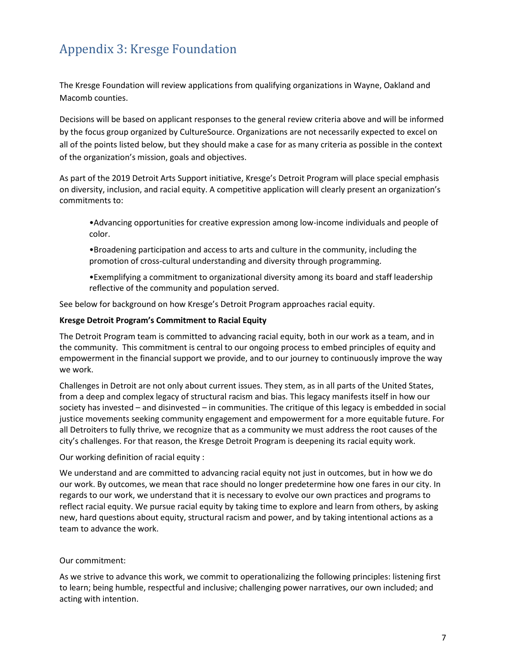# Appendix 3: Kresge Foundation

The Kresge Foundation will review applications from qualifying organizations in Wayne, Oakland and Macomb counties.

Decisions will be based on applicant responses to the general review criteria above and will be informed by the focus group organized by CultureSource. Organizations are not necessarily expected to excel on all of the points listed below, but they should make a case for as many criteria as possible in the context of the organization's mission, goals and objectives.

As part of the 2019 Detroit Arts Support initiative, Kresge's Detroit Program will place special emphasis on diversity, inclusion, and racial equity. A competitive application will clearly present an organization's commitments to:

•Advancing opportunities for creative expression among low-income individuals and people of color.

•Broadening participation and access to arts and culture in the community, including the promotion of cross-cultural understanding and diversity through programming.

•Exemplifying a commitment to organizational diversity among its board and staff leadership reflective of the community and population served.

See below for background on how Kresge's Detroit Program approaches racial equity.

#### **Kresge Detroit Program's Commitment to Racial Equity**

The Detroit Program team is committed to advancing racial equity, both in our work as a team, and in the community. This commitment is central to our ongoing process to embed principles of equity and empowerment in the financial support we provide, and to our journey to continuously improve the way we work.

Challenges in Detroit are not only about current issues. They stem, as in all parts of the United States, from a deep and complex legacy of structural racism and bias. This legacy manifests itself in how our society has invested – and disinvested – in communities. The critique of this legacy is embedded in social justice movements seeking community engagement and empowerment for a more equitable future. For all Detroiters to fully thrive, we recognize that as a community we must address the root causes of the city's challenges. For that reason, the Kresge Detroit Program is deepening its racial equity work.

### Our working definition of racial equity :

We understand and are committed to advancing racial equity not just in outcomes, but in how we do our work. By outcomes, we mean that race should no longer predetermine how one fares in our city. In regards to our work, we understand that it is necessary to evolve our own practices and programs to reflect racial equity. We pursue racial equity by taking time to explore and learn from others, by asking new, hard questions about equity, structural racism and power, and by taking intentional actions as a team to advance the work.

### Our commitment:

As we strive to advance this work, we commit to operationalizing the following principles: listening first to learn; being humble, respectful and inclusive; challenging power narratives, our own included; and acting with intention.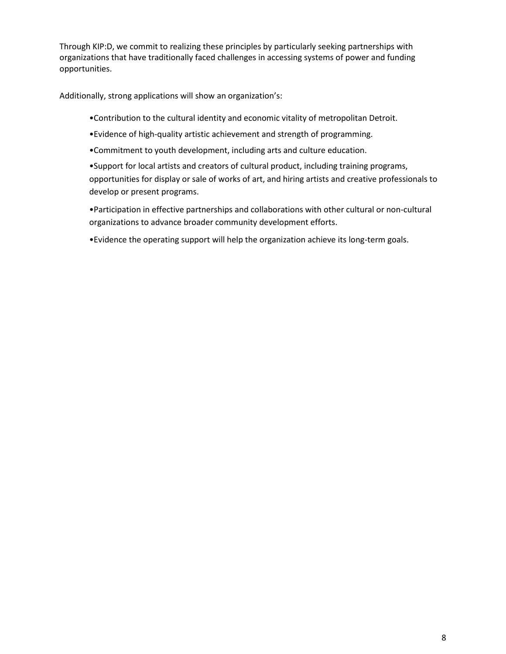Through KIP:D, we commit to realizing these principles by particularly seeking partnerships with organizations that have traditionally faced challenges in accessing systems of power and funding opportunities.

Additionally, strong applications will show an organization's:

- •Contribution to the cultural identity and economic vitality of metropolitan Detroit.
- •Evidence of high-quality artistic achievement and strength of programming.
- •Commitment to youth development, including arts and culture education.

•Support for local artists and creators of cultural product, including training programs, opportunities for display or sale of works of art, and hiring artists and creative professionals to develop or present programs.

•Participation in effective partnerships and collaborations with other cultural or non-cultural organizations to advance broader community development efforts.

•Evidence the operating support will help the organization achieve its long-term goals.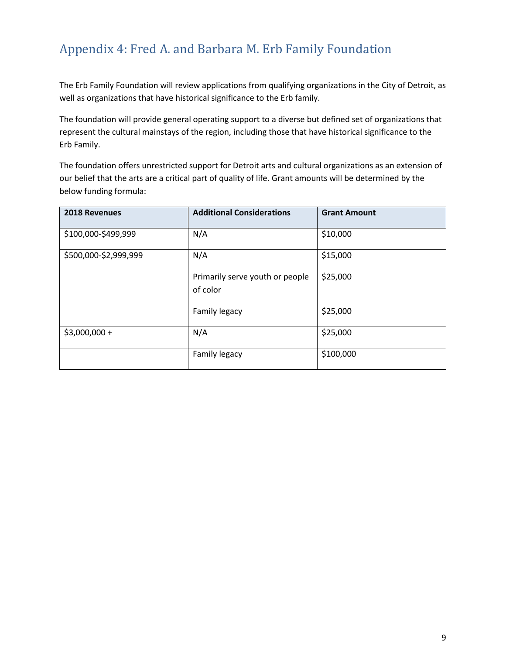## Appendix 4: Fred A. and Barbara M. Erb Family Foundation

The Erb Family Foundation will review applications from qualifying organizations in the City of Detroit, as well as organizations that have historical significance to the Erb family.

The foundation will provide general operating support to a diverse but defined set of organizations that represent the cultural mainstays of the region, including those that have historical significance to the Erb Family.

The foundation offers unrestricted support for Detroit arts and cultural organizations as an extension of our belief that the arts are a critical part of quality of life. Grant amounts will be determined by the below funding formula:

| 2018 Revenues         | <b>Additional Considerations</b>            | <b>Grant Amount</b> |
|-----------------------|---------------------------------------------|---------------------|
| \$100,000-\$499,999   | N/A                                         | \$10,000            |
| \$500,000-\$2,999,999 | N/A                                         | \$15,000            |
|                       | Primarily serve youth or people<br>of color | \$25,000            |
|                       | Family legacy                               | \$25,000            |
| $$3,000,000 +$        | N/A                                         | \$25,000            |
|                       | Family legacy                               | \$100,000           |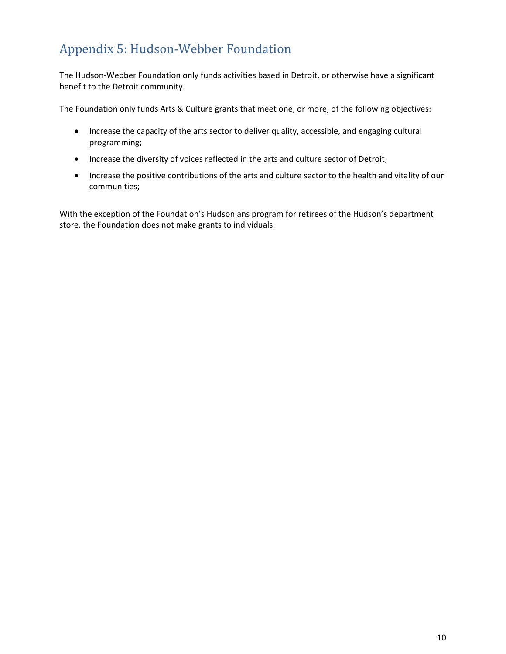# Appendix 5: Hudson-Webber Foundation

The Hudson-Webber Foundation only funds activities based in Detroit, or otherwise have a significant benefit to the Detroit community.

The Foundation only funds Arts & Culture grants that meet one, or more, of the following objectives:

- Increase the capacity of the arts sector to deliver quality, accessible, and engaging cultural programming;
- Increase the diversity of voices reflected in the arts and culture sector of Detroit;
- Increase the positive contributions of the arts and culture sector to the health and vitality of our communities;

With the exception of the Foundation's Hudsonians program for retirees of the Hudson's department store, the Foundation does not make grants to individuals.